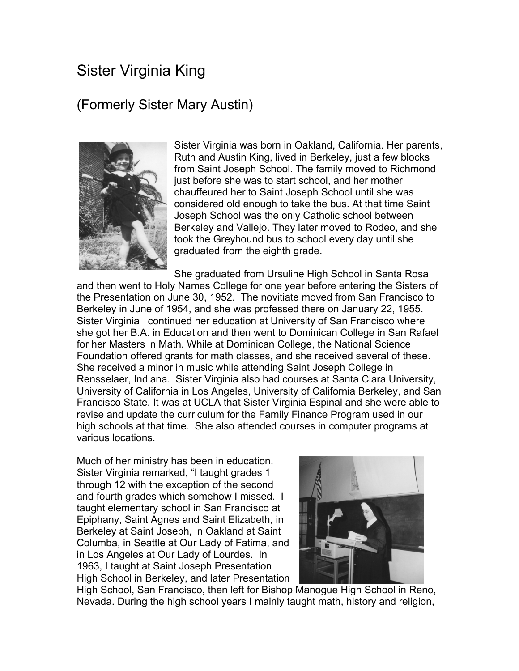## Sister Virginia King

## (Formerly Sister Mary Austin)



Sister Virginia was born in Oakland, California. Her parents, Ruth and Austin King, lived in Berkeley, just a few blocks from Saint Joseph School. The family moved to Richmond just before she was to start school, and her mother chauffeured her to Saint Joseph School until she was considered old enough to take the bus. At that time Saint Joseph School was the only Catholic school between Berkeley and Vallejo. They later moved to Rodeo, and she took the Greyhound bus to school every day until she graduated from the eighth grade.

She graduated from Ursuline High School in Santa Rosa and then went to Holy Names College for one year before entering the Sisters of the Presentation on June 30, 1952. The novitiate moved from San Francisco to Berkeley in June of 1954, and she was professed there on January 22, 1955. Sister Virginia continued her education at University of San Francisco where she got her B.A. in Education and then went to Dominican College in San Rafael for her Masters in Math. While at Dominican College, the National Science Foundation offered grants for math classes, and she received several of these. She received a minor in music while attending Saint Joseph College in Rensselaer, Indiana. Sister Virginia also had courses at Santa Clara University, University of California in Los Angeles, University of California Berkeley, and San Francisco State. It was at UCLA that Sister Virginia Espinal and she were able to revise and update the curriculum for the Family Finance Program used in our high schools at that time. She also attended courses in computer programs at various locations.

Much of her ministry has been in education. Sister Virginia remarked, "I taught grades 1 through 12 with the exception of the second and fourth grades which somehow I missed. I taught elementary school in San Francisco at Epiphany, Saint Agnes and Saint Elizabeth, in Berkeley at Saint Joseph, in Oakland at Saint Columba, in Seattle at Our Lady of Fatima, and in Los Angeles at Our Lady of Lourdes. In 1963, I taught at Saint Joseph Presentation High School in Berkeley, and later Presentation



High School, San Francisco, then left for Bishop Manogue High School in Reno, Nevada. During the high school years I mainly taught math, history and religion,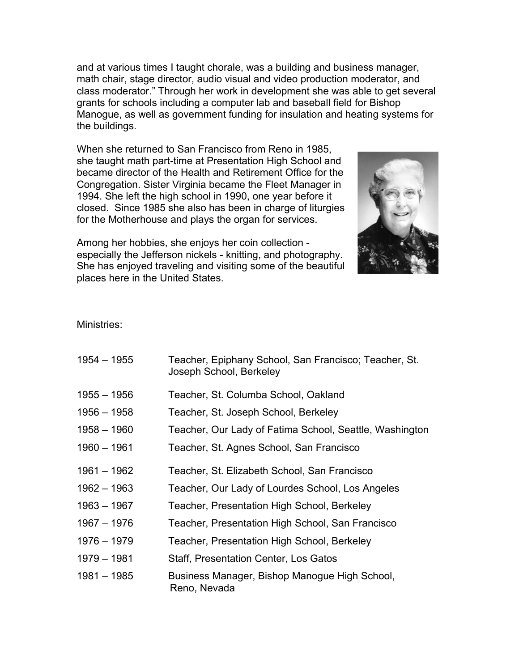and at various times I taught chorale, was a building and business manager, math chair, stage director, audio visual and video production moderator, and class moderator." Through her work in development she was able to get several grants for schools including a computer lab and baseball field for Bishop Manogue, as well as government funding for insulation and heating systems for the buildings.

When she returned to San Francisco from Reno in 1985, she taught math part-time at Presentation High School and became director of the Health and Retirement Office for the Congregation. Sister Virginia became the Fleet Manager in 1994. She left the high school in 1990, one year before it closed. Since 1985 she also has been in charge of liturgies for the Motherhouse and plays the organ for services.



Among her hobbies, she enjoys her coin collection especially the Jefferson nickels - knitting, and photography. She has enjoyed traveling and visiting some of the beautiful places here in the United States.

Ministries:

| $1954 - 1955$ | Teacher, Epiphany School, San Francisco; Teacher, St.<br>Joseph School, Berkeley |
|---------------|----------------------------------------------------------------------------------|
| $1955 - 1956$ | Teacher, St. Columba School, Oakland                                             |
| $1956 - 1958$ | Teacher, St. Joseph School, Berkeley                                             |
| $1958 - 1960$ | Teacher, Our Lady of Fatima School, Seattle, Washington                          |
| $1960 - 1961$ | Teacher, St. Agnes School, San Francisco                                         |
| $1961 - 1962$ | Teacher, St. Elizabeth School, San Francisco                                     |
| $1962 - 1963$ | Teacher, Our Lady of Lourdes School, Los Angeles                                 |
| $1963 - 1967$ | Teacher, Presentation High School, Berkeley                                      |
| 1967 – 1976   | Teacher, Presentation High School, San Francisco                                 |
| 1976 - 1979   | Teacher, Presentation High School, Berkeley                                      |
| 1979 - 1981   | <b>Staff, Presentation Center, Los Gatos</b>                                     |
| $1981 - 1985$ | Business Manager, Bishop Manogue High School,<br>Reno, Nevada                    |